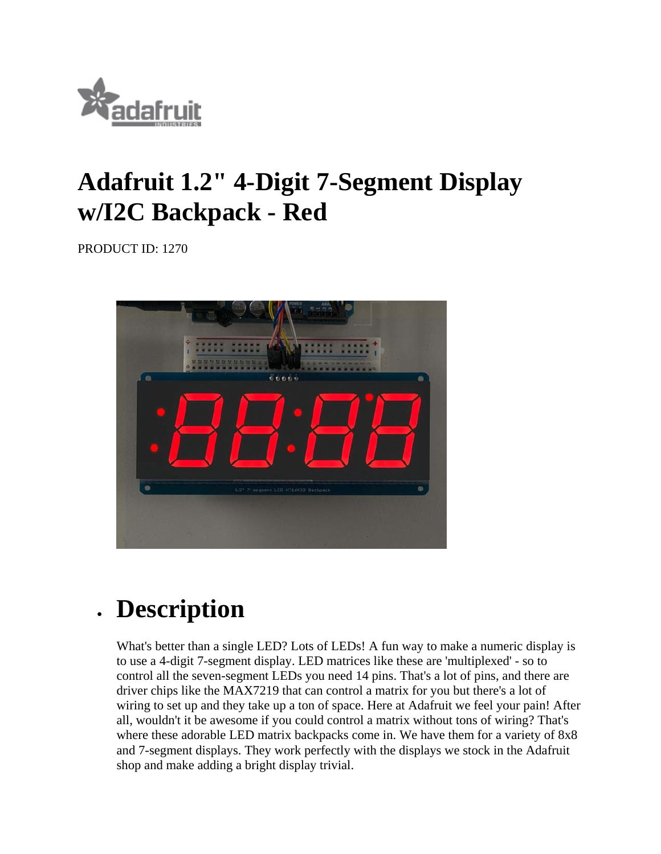

## **Adafruit 1.2" 4-Digit 7-Segment Display w/I2C Backpack - Red**

PRODUCT ID: 1270



## **Description**

What's better than a single LED? Lots of LEDs! A fun way to make a numeric display is to use a 4-digit 7-segment display. LED matrices like these are 'multiplexed' - so to control all the seven-segment LEDs you need 14 pins. That's a lot of pins, and there are driver chips like the MAX7219 that can control a matrix for you but there's a lot of wiring to set up and they take up a ton of space. Here at Adafruit we feel your pain! After all, wouldn't it be awesome if you could control a matrix without tons of wiring? That's where these adorable LED matrix backpacks come in. We have them for a variety of 8x8 and 7-segment displays. They work perfectly with the displays we stock in the Adafruit shop and make adding a bright display trivial.